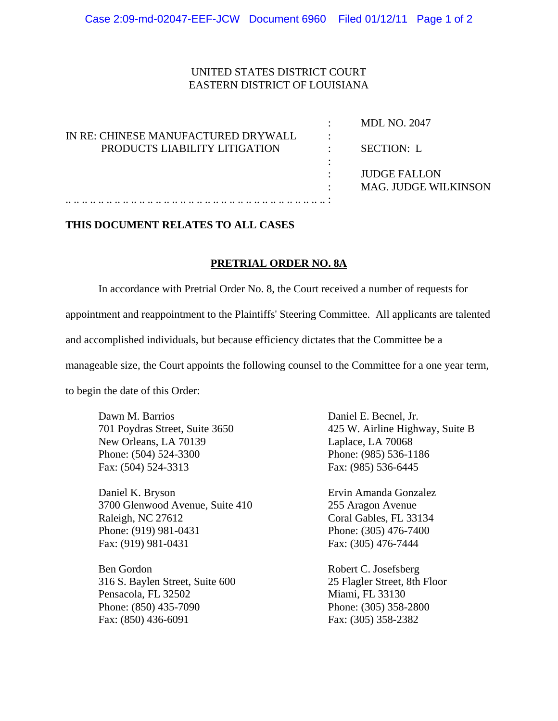## UNITED STATES DISTRICT COURT EASTERN DISTRICT OF LOUISIANA

|                                     | <b>MDL NO. 2047</b>         |
|-------------------------------------|-----------------------------|
| IN RE: CHINESE MANUFACTURED DRYWALL |                             |
| PRODUCTS LIABILITY LITIGATION       | SECTION: L                  |
|                                     |                             |
|                                     | <b>JUDGE FALLON</b>         |
|                                     | <b>MAG. JUDGE WILKINSON</b> |
|                                     |                             |

## **THIS DOCUMENT RELATES TO ALL CASES**

## **PRETRIAL ORDER NO. 8A**

In accordance with Pretrial Order No. 8, the Court received a number of requests for

appointment and reappointment to the Plaintiffs' Steering Committee. All applicants are talented

and accomplished individuals, but because efficiency dictates that the Committee be a

manageable size, the Court appoints the following counsel to the Committee for a one year term,

to begin the date of this Order:

Dawn M. Barrios Daniel E. Becnel, Jr. New Orleans, LA 70139 Laplace, LA 70068 Phone: (504) 524-3300 Phone: (985) 536-1186 Fax: (504) 524-3313 Fax: (985) 536-6445

Daniel K. Bryson Ervin Amanda Gonzalez 3700 Glenwood Avenue, Suite 410 255 Aragon Avenue Raleigh, NC 27612 Coral Gables, FL 33134 Phone: (919) 981-0431 Phone: (305) 476-7400 Fax: (919) 981-0431 Fax: (305) 476-7444

Ben Gordon Robert C. Josefsberg 316 S. Baylen Street, Suite 600 25 Flagler Street, 8th Floor Pensacola, FL 32502 Miami, FL 33130 Phone: (850) 435-7090 Phone: (305) 358-2800 Fax: (850) 436-6091 Fax: (305) 358-2382

701 Poydras Street, Suite 3650 425 W. Airline Highway, Suite B